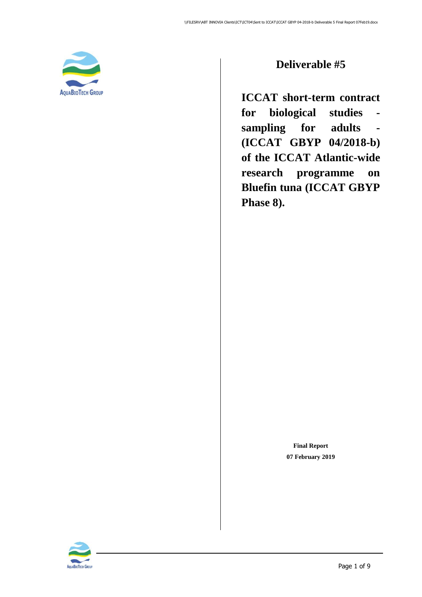<span id="page-0-0"></span>

### **Deliverable #5**

**ICCAT short-term contract for biological studies sampling for adults - (ICCAT GBYP 04/2018-b) of the ICCAT Atlantic-wide research programme on Bluefin tuna (ICCAT GBYP Phase 8).**

> **Final Report 07 February 2019**

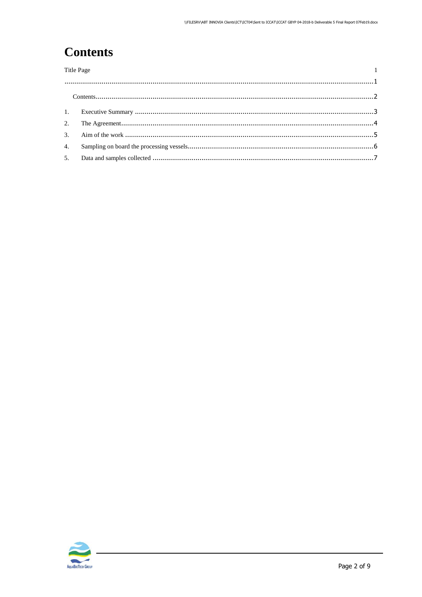# <span id="page-1-0"></span>**Contents**

| <b>Title Page</b> |  |  |
|-------------------|--|--|
|                   |  |  |
|                   |  |  |
|                   |  |  |
|                   |  |  |
|                   |  |  |
|                   |  |  |
|                   |  |  |
|                   |  |  |

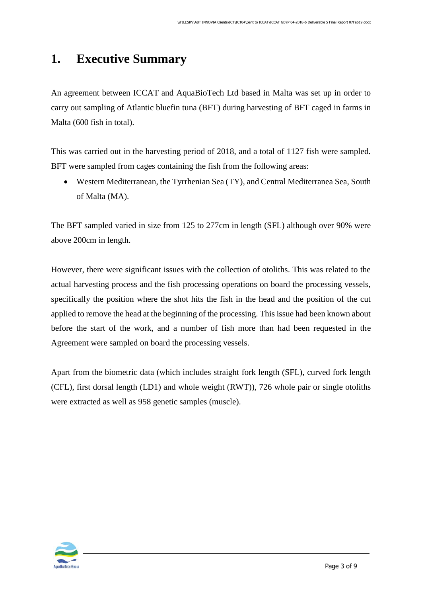## <span id="page-2-0"></span>**1. Executive Summary**

An agreement between ICCAT and AquaBioTech Ltd based in Malta was set up in order to carry out sampling of Atlantic bluefin tuna (BFT) during harvesting of BFT caged in farms in Malta (600 fish in total).

This was carried out in the harvesting period of 2018, and a total of 1127 fish were sampled. BFT were sampled from cages containing the fish from the following areas:

• Western Mediterranean, the Tyrrhenian Sea (TY), and Central Mediterranea Sea, South of Malta (MA).

The BFT sampled varied in size from 125 to 277cm in length (SFL) although over 90% were above 200cm in length.

However, there were significant issues with the collection of otoliths. This was related to the actual harvesting process and the fish processing operations on board the processing vessels, specifically the position where the shot hits the fish in the head and the position of the cut applied to remove the head at the beginning of the processing. This issue had been known about before the start of the work, and a number of fish more than had been requested in the Agreement were sampled on board the processing vessels.

Apart from the biometric data (which includes straight fork length (SFL), curved fork length (CFL), first dorsal length (LD1) and whole weight (RWT)), 726 whole pair or single otoliths were extracted as well as 958 genetic samples (muscle).

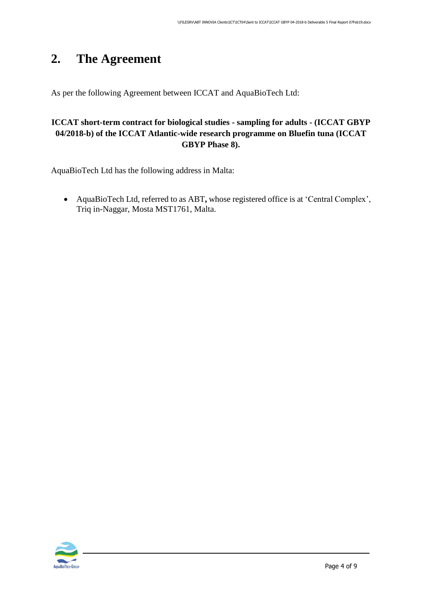## <span id="page-3-0"></span>**2. The Agreement**

As per the following Agreement between ICCAT and AquaBioTech Ltd:

#### **ICCAT short-term contract for biological studies - sampling for adults - (ICCAT GBYP 04/2018-b) of the ICCAT Atlantic-wide research programme on Bluefin tuna (ICCAT GBYP Phase 8).**

AquaBioTech Ltd has the following address in Malta:

• AquaBioTech Ltd, referred to as ABT**,** whose registered office is at 'Central Complex', Triq in-Naggar, Mosta MST1761, Malta.

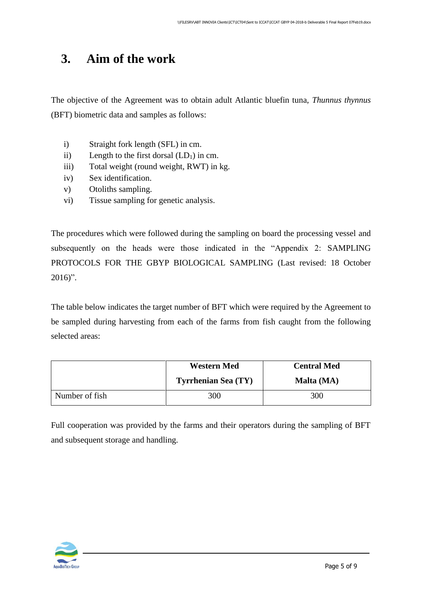## <span id="page-4-0"></span>**3. Aim of the work**

The objective of the Agreement was to obtain adult Atlantic bluefin tuna, *Thunnus thynnus* (BFT) biometric data and samples as follows:

- i) Straight fork length (SFL) in cm.
- ii) Length to the first dorsal  $(LD_1)$  in cm.
- iii) Total weight (round weight, RWT) in kg.
- iv) Sex identification.
- v) Otoliths sampling.
- vi) Tissue sampling for genetic analysis.

The procedures which were followed during the sampling on board the processing vessel and subsequently on the heads were those indicated in the "Appendix 2: SAMPLING PROTOCOLS FOR THE GBYP BIOLOGICAL SAMPLING (Last revised: 18 October  $2016$ ".

The table below indicates the target number of BFT which were required by the Agreement to be sampled during harvesting from each of the farms from fish caught from the following selected areas:

|                | <b>Western Med</b>         | <b>Central Med</b> |  |
|----------------|----------------------------|--------------------|--|
|                | <b>Tyrrhenian Sea (TY)</b> | Malta (MA)         |  |
| Number of fish | 300                        | 300                |  |

Full cooperation was provided by the farms and their operators during the sampling of BFT and subsequent storage and handling.

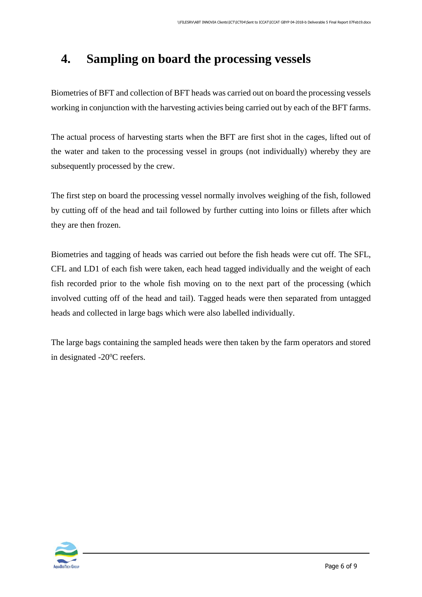## <span id="page-5-0"></span>**4. Sampling on board the processing vessels**

Biometries of BFT and collection of BFT heads was carried out on board the processing vessels working in conjunction with the harvesting activies being carried out by each of the BFT farms.

The actual process of harvesting starts when the BFT are first shot in the cages, lifted out of the water and taken to the processing vessel in groups (not individually) whereby they are subsequently processed by the crew.

The first step on board the processing vessel normally involves weighing of the fish, followed by cutting off of the head and tail followed by further cutting into loins or fillets after which they are then frozen.

Biometries and tagging of heads was carried out before the fish heads were cut off. The SFL, CFL and LD1 of each fish were taken, each head tagged individually and the weight of each fish recorded prior to the whole fish moving on to the next part of the processing (which involved cutting off of the head and tail). Tagged heads were then separated from untagged heads and collected in large bags which were also labelled individually.

The large bags containing the sampled heads were then taken by the farm operators and stored in designated -20<sup>o</sup>C reefers.

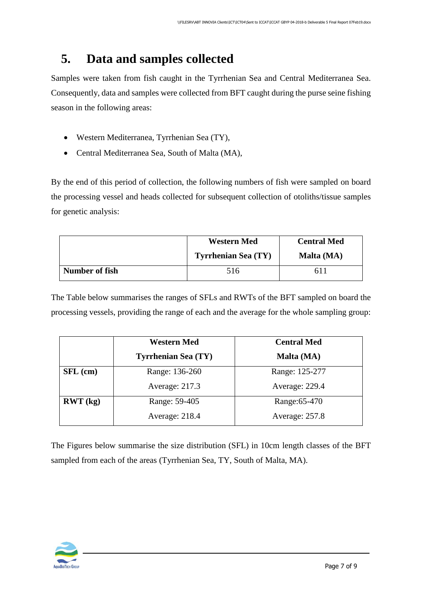## <span id="page-6-0"></span>**5. Data and samples collected**

Samples were taken from fish caught in the Tyrrhenian Sea and Central Mediterranea Sea. Consequently, data and samples were collected from BFT caught during the purse seine fishing season in the following areas:

- Western Mediterranea, Tyrrhenian Sea (TY),
- Central Mediterranea Sea, South of Malta (MA),

By the end of this period of collection, the following numbers of fish were sampled on board the processing vessel and heads collected for subsequent collection of otoliths/tissue samples for genetic analysis:

|                | <b>Western Med</b>         | <b>Central Med</b> |  |
|----------------|----------------------------|--------------------|--|
|                | <b>Tyrrhenian Sea (TY)</b> | Malta (MA)         |  |
| Number of fish | 516                        | 6 L I              |  |

The Table below summarises the ranges of SFLs and RWTs of the BFT sampled on board the processing vessels, providing the range of each and the average for the whole sampling group:

|            | <b>Western Med</b>         | <b>Central Med</b> |
|------------|----------------------------|--------------------|
|            | <b>Tyrrhenian Sea (TY)</b> | Malta (MA)         |
| $SFL$ (cm) | Range: 136-260             | Range: 125-277     |
|            | Average: 217.3             | Average: 229.4     |
| RWT (kg)   | Range: 59-405              | Range: 65-470      |
|            | Average: 218.4             | Average: 257.8     |

The Figures below summarise the size distribution (SFL) in 10cm length classes of the BFT sampled from each of the areas (Tyrrhenian Sea, TY, South of Malta, MA).

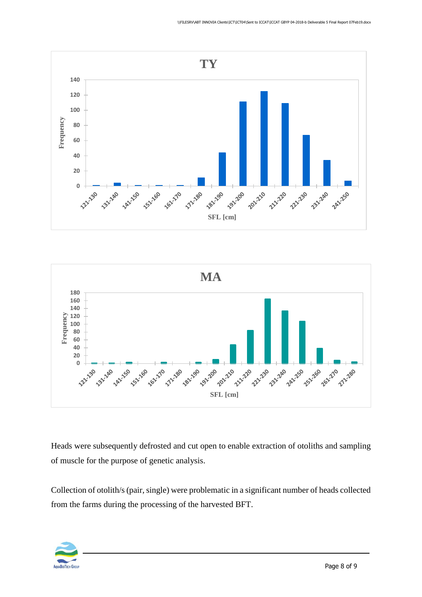



Heads were subsequently defrosted and cut open to enable extraction of otoliths and sampling of muscle for the purpose of genetic analysis.

Collection of otolith/s (pair, single) were problematic in a significant number of heads collected from the farms during the processing of the harvested BFT.